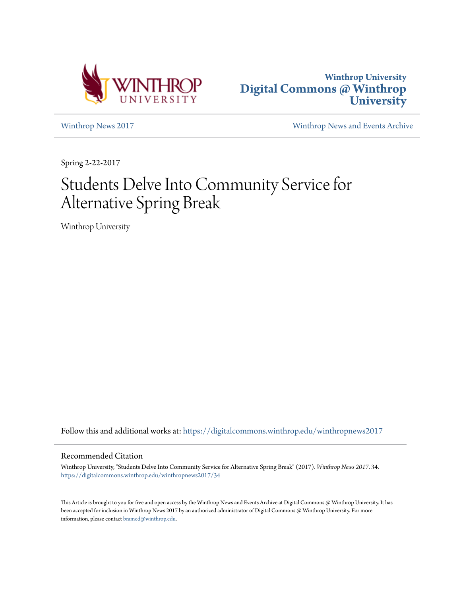



[Winthrop News 2017](https://digitalcommons.winthrop.edu/winthropnews2017?utm_source=digitalcommons.winthrop.edu%2Fwinthropnews2017%2F34&utm_medium=PDF&utm_campaign=PDFCoverPages) [Winthrop News and Events Archive](https://digitalcommons.winthrop.edu/winthropnewsarchives?utm_source=digitalcommons.winthrop.edu%2Fwinthropnews2017%2F34&utm_medium=PDF&utm_campaign=PDFCoverPages)

Spring 2-22-2017

# Students Delve Into Community Service for Alternative Spring Break

Winthrop University

Follow this and additional works at: [https://digitalcommons.winthrop.edu/winthropnews2017](https://digitalcommons.winthrop.edu/winthropnews2017?utm_source=digitalcommons.winthrop.edu%2Fwinthropnews2017%2F34&utm_medium=PDF&utm_campaign=PDFCoverPages)

#### Recommended Citation

Winthrop University, "Students Delve Into Community Service for Alternative Spring Break" (2017). *Winthrop News 2017*. 34. [https://digitalcommons.winthrop.edu/winthropnews2017/34](https://digitalcommons.winthrop.edu/winthropnews2017/34?utm_source=digitalcommons.winthrop.edu%2Fwinthropnews2017%2F34&utm_medium=PDF&utm_campaign=PDFCoverPages)

This Article is brought to you for free and open access by the Winthrop News and Events Archive at Digital Commons @ Winthrop University. It has been accepted for inclusion in Winthrop News 2017 by an authorized administrator of Digital Commons @ Winthrop University. For more information, please contact [bramed@winthrop.edu](mailto:bramed@winthrop.edu).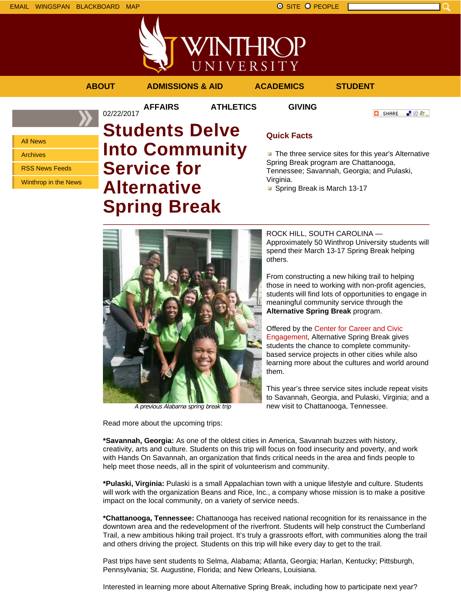

**AFFAIRS ATHLETICS GIVING**

02/22/2017

**ABOUT ADMISSIONS & AID ACADEMICS STUDENT**

**C** SHARE 上级车。

All News

Archives

RSS News Feeds

Winthrop in the News

# **Students Delve Into Community Service for Alternative Spring Break**

# **Quick Facts**

**The three service sites for this year's Alternative** Spring Break program are Chattanooga, Tennessee; Savannah, Georgia; and Pulaski, Virginia.

Spring Break is March 13-17



A previous Alabama spring break trip

Read more about the upcoming trips:

ROCK HILL, SOUTH CAROLINA — Approximately 50 Winthrop University students will spend their March 13-17 Spring Break helping others.

From constructing a new hiking trail to helping those in need to working with non-profit agencies, students will find lots of opportunities to engage in meaningful community service through the **Alternative Spring Break** program.

Offered by the Center for Career and Civic Engagement, Alternative Spring Break gives students the chance to complete communitybased service projects in other cities while also learning more about the cultures and world around them.

This year's three service sites include repeat visits to Savannah, Georgia, and Pulaski, Virginia; and a new visit to Chattanooga, Tennessee.

**\*Savannah, Georgia:** As one of the oldest cities in America, Savannah buzzes with history, creativity, arts and culture. Students on this trip will focus on food insecurity and poverty, and work with Hands On Savannah, an organization that finds critical needs in the area and finds people to help meet those needs, all in the spirit of volunteerism and community.

**\*Pulaski, Virginia:** Pulaski is a small Appalachian town with a unique lifestyle and culture. Students will work with the organization Beans and Rice, Inc., a company whose mission is to make a positive impact on the local community, on a variety of service needs.

**\*Chattanooga, Tennessee:** Chattanooga has received national recognition for its renaissance in the downtown area and the redevelopment of the riverfront. Students will help construct the Cumberland Trail, a new ambitious hiking trail project. It's truly a grassroots effort, with communities along the trail and others driving the project. Students on this trip will hike every day to get to the trail.

Past trips have sent students to Selma, Alabama; Atlanta, Georgia; Harlan, Kentucky; Pittsburgh, Pennsylvania; St. Augustine, Florida; and New Orleans, Louisiana.

Interested in learning more about Alternative Spring Break, including how to participate next year?